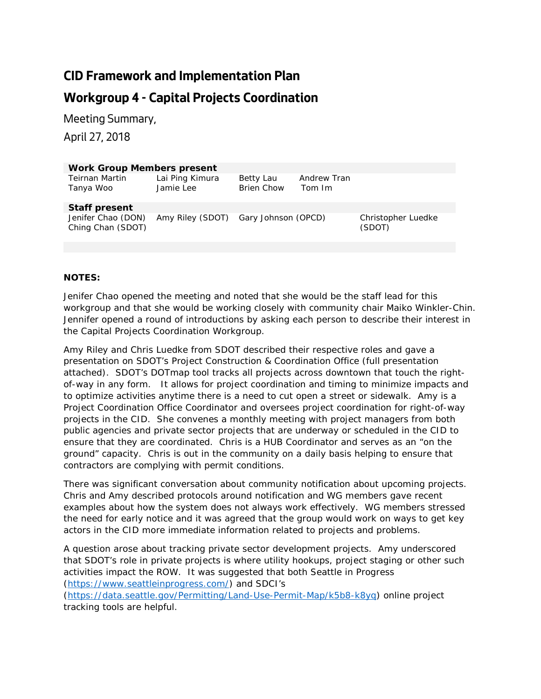## **CID Framework and Implementation Plan**

## **Workgroup 4 - Capital Projects Coordination**

Meeting Summary,

April 27, 2018

| <b>Work Group Members present</b>       |                                      |                                |                       |                              |
|-----------------------------------------|--------------------------------------|--------------------------------|-----------------------|------------------------------|
| Teirnan Martin<br>Tanya Woo             | Lai Ping Kimura<br>Jamie Lee         | Betty Lau<br><b>Brien Chow</b> | Andrew Tran<br>Tom Im |                              |
| Staff present                           |                                      |                                |                       |                              |
| Jenifer Chao (DON)<br>Ching Chan (SDOT) | Amy Riley (SDOT) Gary Johnson (OPCD) |                                |                       | Christopher Luedke<br>(SDOT) |

## **NOTES:**

Jenifer Chao opened the meeting and noted that she would be the staff lead for this workgroup and that she would be working closely with community chair Maiko Winkler-Chin. Jennifer opened a round of introductions by asking each person to describe their interest in the Capital Projects Coordination Workgroup.

Amy Riley and Chris Luedke from SDOT described their respective roles and gave a presentation on SDOT's Project Construction & Coordination Office (full presentation attached). SDOT's DOTmap tool tracks all projects across downtown that touch the rightof-way in any form. It allows for project coordination and timing to minimize impacts and to optimize activities anytime there is a need to cut open a street or sidewalk. Amy is a Project Coordination Office Coordinator and oversees project coordination for right-of-way projects in the CID. She convenes a monthly meeting with project managers from both public agencies and private sector projects that are underway or scheduled in the CID to ensure that they are coordinated. Chris is a HUB Coordinator and serves as an "on the ground" capacity. Chris is out in the community on a daily basis helping to ensure that contractors are complying with permit conditions.

There was significant conversation about community notification about upcoming projects. Chris and Amy described protocols around notification and WG members gave recent examples about how the system does not always work effectively. WG members stressed the need for early notice and it was agreed that the group would work on ways to get key actors in the CID more immediate information related to projects and problems.

A question arose about tracking private sector development projects. Amy underscored that SDOT's role in private projects is where utility hookups, project staging or other such activities impact the ROW. It was suggested that both Seattle in Progress [\(https://www.seattleinprogress.com/\)](https://www.seattleinprogress.com/) and SDCI's

[\(https://data.seattle.gov/Permitting/Land-Use-Permit-Map/k5b8-k8yq\)](https://data.seattle.gov/Permitting/Land-Use-Permit-Map/k5b8-k8yq) online project tracking tools are helpful.